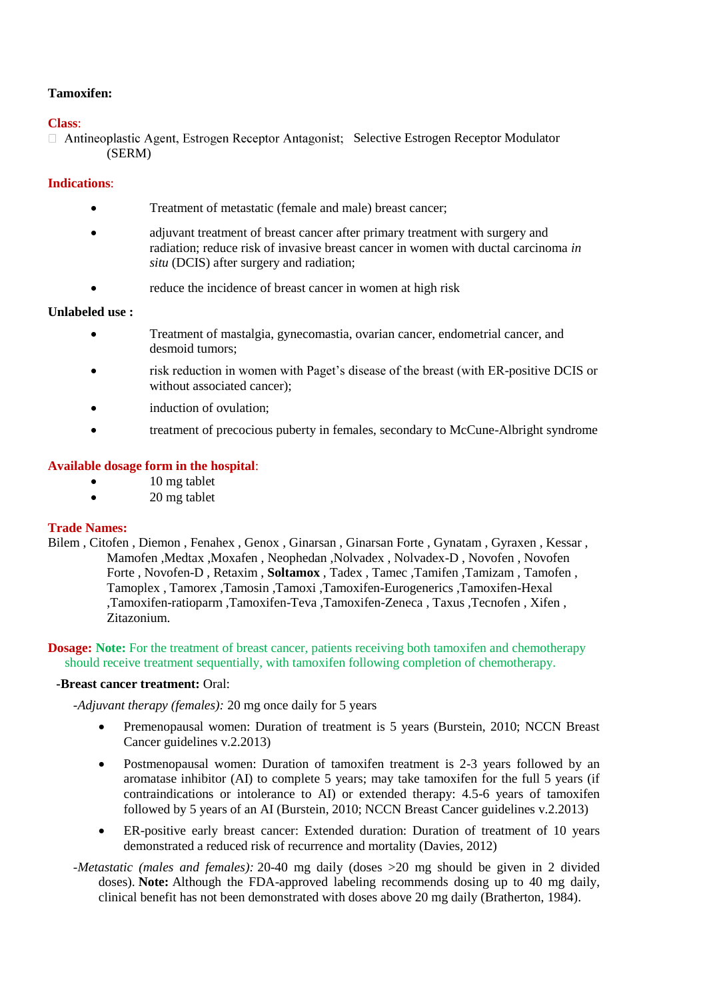# **Tamoxifen:**

## **Class**:

 $\Box$  Antineoplastic Agent, Estrogen Receptor Antagonist; Selective Estrogen Receptor Modulator (SERM)

## **Indications**:

- Treatment of metastatic (female and male) breast cancer;
- adjuvant treatment of breast cancer after primary treatment with surgery and radiation; reduce risk of invasive breast cancer in women with ductal carcinoma *in situ* (DCIS) after surgery and radiation;
- reduce the incidence of breast cancer in women at high risk

### **Unlabeled use :**

- Treatment of mastalgia, gynecomastia, ovarian cancer, endometrial cancer, and desmoid tumors;
- risk reduction in women with Paget's disease of the breast (with ER-positive DCIS or without associated cancer);
- induction of ovulation;
- treatment of precocious puberty in females, secondary to McCune-Albright syndrome

### **Available dosage form in the hospital**:

- 10 mg tablet
- 20 mg tablet

### **Trade Names:**

Bilem , Citofen , Diemon , Fenahex , Genox , Ginarsan , Ginarsan Forte , Gynatam , Gyraxen , Kessar , Mamofen ,Medtax ,Moxafen , Neophedan ,Nolvadex , Nolvadex-D , Novofen , Novofen Forte , Novofen-D, Retaxim, Soltamox, Tadex, Tamec, Tamifen, Tamizam, Tamofen, Tamoplex , Tamorex ,Tamosin ,Tamoxi ,Tamoxifen-Eurogenerics ,Tamoxifen-Hexal ,Tamoxifen-ratioparm ,Tamoxifen-Teva ,Tamoxifen-Zeneca , Taxus ,Tecnofen , Xifen , Zitazonium.

#### **Dosage:** Note: For the treatment of breast cancer, patients receiving both tamoxifen and chemotherapy should receive treatment sequentially, with tamoxifen following completion of chemotherapy.

#### **-Breast cancer treatment:** Oral:

*-Adjuvant therapy (females):* 20 mg once daily for 5 years

- Premenopausal women: Duration of treatment is 5 years (Burstein, 2010; NCCN Breast Cancer guidelines v.2.2013)
- Postmenopausal women: Duration of tamoxifen treatment is 2-3 years followed by an aromatase inhibitor (AI) to complete 5 years; may take tamoxifen for the full 5 years (if contraindications or intolerance to AI) or extended therapy: 4.5-6 years of tamoxifen followed by 5 years of an AI (Burstein, 2010; NCCN Breast Cancer guidelines v.2.2013)
- ER-positive early breast cancer: Extended duration: Duration of treatment of 10 years demonstrated a reduced risk of recurrence and mortality (Davies, 2012)
- *-Metastatic (males and females):* 20-40 mg daily (doses >20 mg should be given in 2 divided doses). **Note:** Although the FDA-approved labeling recommends dosing up to 40 mg daily, clinical benefit has not been demonstrated with doses above 20 mg daily (Bratherton, 1984).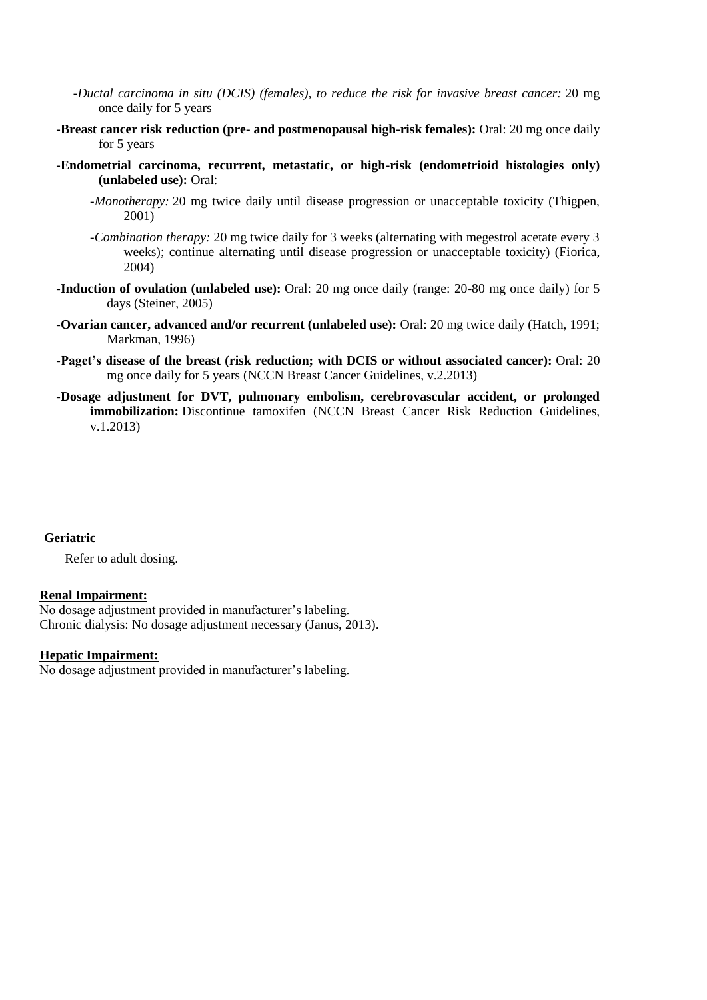- *-Ductal carcinoma in situ (DCIS) (females), to reduce the risk for invasive breast cancer:* 20 mg once daily for 5 years
- **-Breast cancer risk reduction (pre- and postmenopausal high-risk females):** Oral: 20 mg once daily for 5 years
- **-Endometrial carcinoma, recurrent, metastatic, or high-risk (endometrioid histologies only) (unlabeled use):** Oral:
	- *-Monotherapy:* 20 mg twice daily until disease progression or unacceptable toxicity (Thigpen, 2001)
	- *-Combination therapy:* 20 mg twice daily for 3 weeks (alternating with megestrol acetate every 3 weeks); continue alternating until disease progression or unacceptable toxicity) (Fiorica, 2004)
- **-Induction of ovulation (unlabeled use):** Oral: 20 mg once daily (range: 20-80 mg once daily) for 5 days (Steiner, 2005)
- **-Ovarian cancer, advanced and/or recurrent (unlabeled use):** Oral: 20 mg twice daily (Hatch, 1991; Markman, 1996)
- **-Paget's disease of the breast (risk reduction; with DCIS or without associated cancer):** Oral: 20 mg once daily for 5 years (NCCN Breast Cancer Guidelines, v.2.2013)
- **-Dosage adjustment for DVT, pulmonary embolism, cerebrovascular accident, or prolonged immobilization:** Discontinue tamoxifen (NCCN Breast Cancer Risk Reduction Guidelines, v.1.2013)

#### **Geriatric**

Refer to adult dosing.

#### **Renal Impairment:**

No dosage adjustment provided in manufacturer's labeling. Chronic dialysis: No dosage adjustment necessary (Janus, 2013).

### **Hepatic Impairment:**

No dosage adjustment provided in manufacturer's labeling.